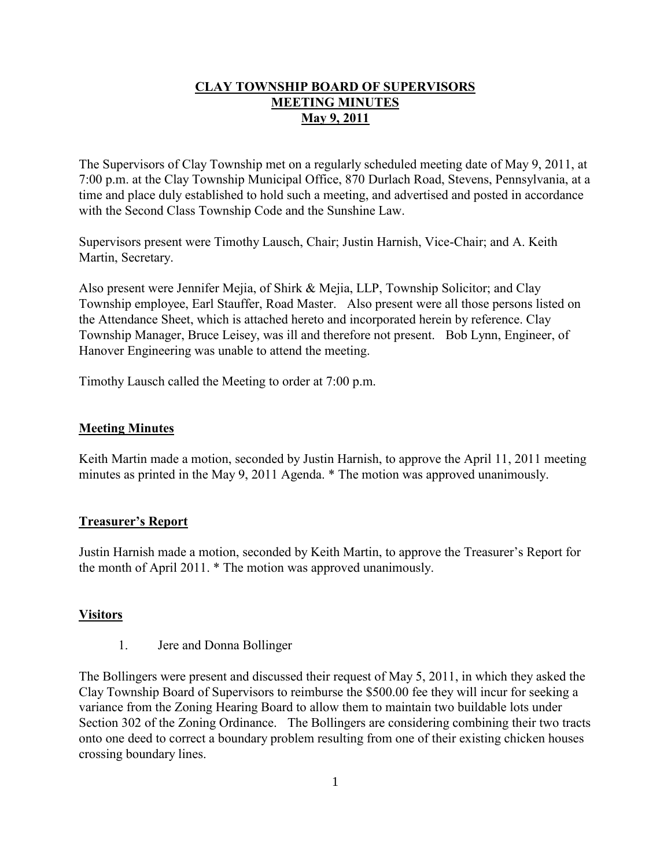### **CLAY TOWNSHIP BOARD OF SUPERVISORS MEETING MINUTES May 9, 2011**

The Supervisors of Clay Township met on a regularly scheduled meeting date of May 9, 2011, at 7:00 p.m. at the Clay Township Municipal Office, 870 Durlach Road, Stevens, Pennsylvania, at a time and place duly established to hold such a meeting, and advertised and posted in accordance with the Second Class Township Code and the Sunshine Law.

Supervisors present were Timothy Lausch, Chair; Justin Harnish, Vice-Chair; and A. Keith Martin, Secretary.

Also present were Jennifer Mejia, of Shirk & Mejia, LLP, Township Solicitor; and Clay Township employee, Earl Stauffer, Road Master. Also present were all those persons listed on the Attendance Sheet, which is attached hereto and incorporated herein by reference. Clay Township Manager, Bruce Leisey, was ill and therefore not present. Bob Lynn, Engineer, of Hanover Engineering was unable to attend the meeting.

Timothy Lausch called the Meeting to order at 7:00 p.m.

#### **Meeting Minutes**

Keith Martin made a motion, seconded by Justin Harnish, to approve the April 11, 2011 meeting minutes as printed in the May 9, 2011 Agenda. \* The motion was approved unanimously.

#### **Treasurer's Report**

Justin Harnish made a motion, seconded by Keith Martin, to approve the Treasurer's Report for the month of April 2011. \* The motion was approved unanimously.

### **Visitors**

1. Jere and Donna Bollinger

The Bollingers were present and discussed their request of May 5, 2011, in which they asked the Clay Township Board of Supervisors to reimburse the \$500.00 fee they will incur for seeking a variance from the Zoning Hearing Board to allow them to maintain two buildable lots under Section 302 of the Zoning Ordinance. The Bollingers are considering combining their two tracts onto one deed to correct a boundary problem resulting from one of their existing chicken houses crossing boundary lines.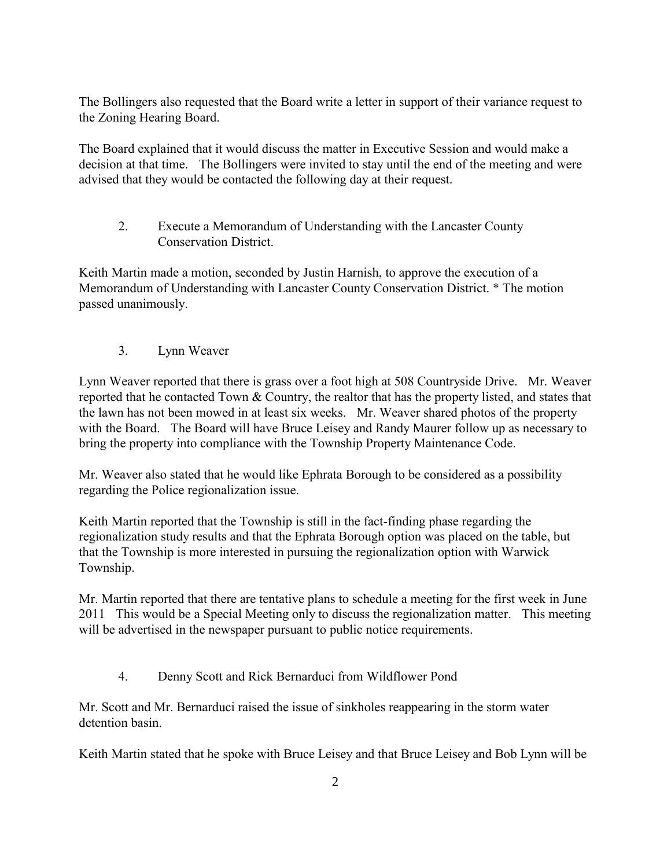The Bollingers also requested that the Board write a letter in support of their variance request to the Zoning Hearing Board.

The Board explained that it would discuss the matter in Executive Session and would make a decision at that time. The Bollingers were invited to stay until the end of the meeting and were advised that they would be contacted the following day at their request.

2. Execute a Memorandum of Understanding with the Lancaster County Conservation District.

Keith Martin made a motion, seconded by Justin Harnish, to approve the execution of a Memorandum of Understanding with Lancaster County Conservation District. \* The motion passed unanimously.

3. Lynn Weaver

Lynn Weaver reported that there is grass over a foot high at 508 Countryside Drive. Mr. Weaver reported that he contacted Town & Country, the realtor that has the property listed, and states that the lawn has not been mowed in at least six weeks. Mr. Weaver shared photos of the property with the Board. The Board will have Bruce Leisey and Randy Maurer follow up as necessary to bring the property into compliance with the Township Property Maintenance Code.

Mr. Weaver also stated that he would like Ephrata Borough to be considered as a possibility regarding the Police regionalization issue.

Keith Martin reported that the Township is still in the fact-finding phase regarding the regionalization study results and that the Ephrata Borough option was placed on the table, but that the Township is more interested in pursuing the regionalization option with Warwick Township.

Mr. Martin reported that there are tentative plans to schedule a meeting for the first week in June 2011 This would be a Special Meeting only to discuss the regionalization matter. This meeting will be advertised in the newspaper pursuant to public notice requirements.

4. Denny Scott and Rick Bernarduci from Wildflower Pond

Mr. Scott and Mr. Bernarduci raised the issue of sinkholes reappearing in the storm water detention basin.

Keith Martin stated that he spoke with Bruce Leisey and that Bruce Leisey and Bob Lynn will be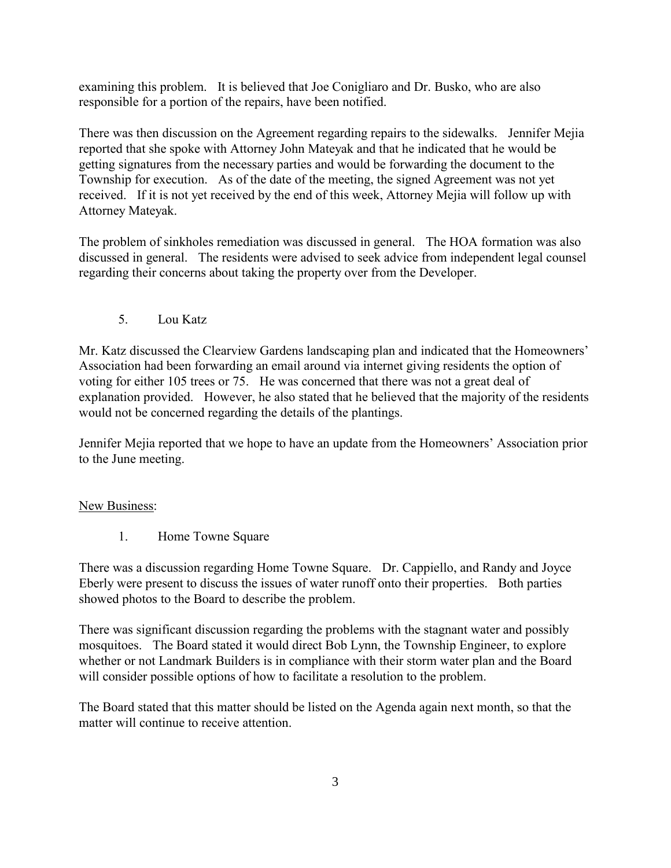examining this problem. It is believed that Joe Conigliaro and Dr. Busko, who are also responsible for a portion of the repairs, have been notified.

There was then discussion on the Agreement regarding repairs to the sidewalks. Jennifer Mejia reported that she spoke with Attorney John Mateyak and that he indicated that he would be getting signatures from the necessary parties and would be forwarding the document to the Township for execution. As of the date of the meeting, the signed Agreement was not yet received. If it is not yet received by the end of this week, Attorney Mejia will follow up with Attorney Mateyak.

The problem of sinkholes remediation was discussed in general. The HOA formation was also discussed in general. The residents were advised to seek advice from independent legal counsel regarding their concerns about taking the property over from the Developer.

5. Lou Katz

Mr. Katz discussed the Clearview Gardens landscaping plan and indicated that the Homeowners' Association had been forwarding an email around via internet giving residents the option of voting for either 105 trees or 75. He was concerned that there was not a great deal of explanation provided. However, he also stated that he believed that the majority of the residents would not be concerned regarding the details of the plantings.

Jennifer Mejia reported that we hope to have an update from the Homeowners' Association prior to the June meeting.

### New Business:

1. Home Towne Square

There was a discussion regarding Home Towne Square. Dr. Cappiello, and Randy and Joyce Eberly were present to discuss the issues of water runoff onto their properties. Both parties showed photos to the Board to describe the problem.

There was significant discussion regarding the problems with the stagnant water and possibly mosquitoes. The Board stated it would direct Bob Lynn, the Township Engineer, to explore whether or not Landmark Builders is in compliance with their storm water plan and the Board will consider possible options of how to facilitate a resolution to the problem.

The Board stated that this matter should be listed on the Agenda again next month, so that the matter will continue to receive attention.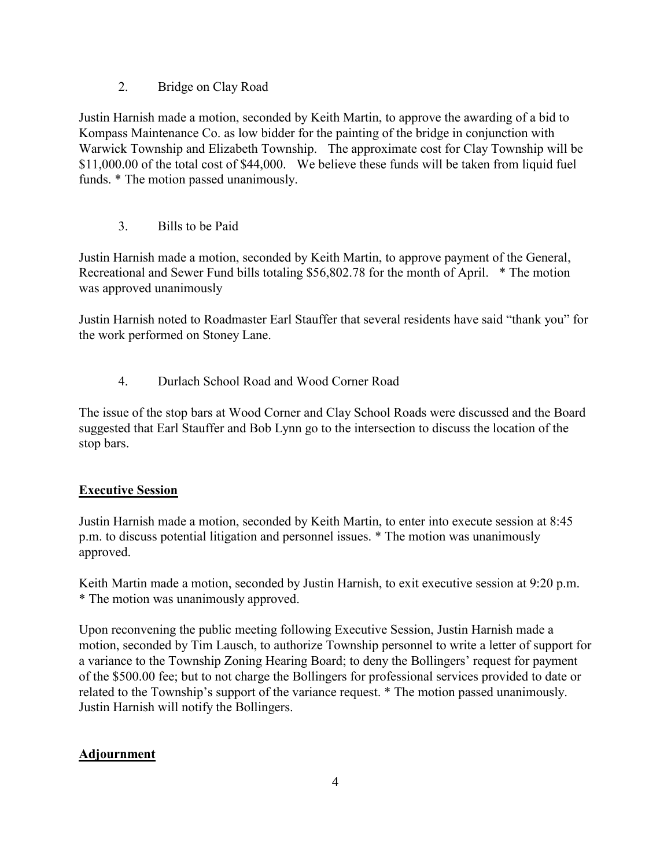## 2. Bridge on Clay Road

Justin Harnish made a motion, seconded by Keith Martin, to approve the awarding of a bid to Kompass Maintenance Co. as low bidder for the painting of the bridge in conjunction with Warwick Township and Elizabeth Township. The approximate cost for Clay Township will be \$11,000.00 of the total cost of \$44,000. We believe these funds will be taken from liquid fuel funds. \* The motion passed unanimously.

3. Bills to be Paid

Justin Harnish made a motion, seconded by Keith Martin, to approve payment of the General, Recreational and Sewer Fund bills totaling \$56,802.78 for the month of April. \* The motion was approved unanimously

Justin Harnish noted to Roadmaster Earl Stauffer that several residents have said "thank you" for the work performed on Stoney Lane.

4. Durlach School Road and Wood Corner Road

The issue of the stop bars at Wood Corner and Clay School Roads were discussed and the Board suggested that Earl Stauffer and Bob Lynn go to the intersection to discuss the location of the stop bars.

# **Executive Session**

Justin Harnish made a motion, seconded by Keith Martin, to enter into execute session at 8:45 p.m. to discuss potential litigation and personnel issues. \* The motion was unanimously approved.

Keith Martin made a motion, seconded by Justin Harnish, to exit executive session at 9:20 p.m. \* The motion was unanimously approved.

Upon reconvening the public meeting following Executive Session, Justin Harnish made a motion, seconded by Tim Lausch, to authorize Township personnel to write a letter of support for a variance to the Township Zoning Hearing Board; to deny the Bollingers' request for payment of the \$500.00 fee; but to not charge the Bollingers for professional services provided to date or related to the Township's support of the variance request. \* The motion passed unanimously. Justin Harnish will notify the Bollingers.

# **Adjournment**